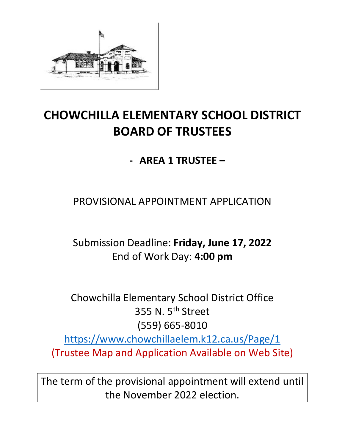

# **CHOWCHILLA ELEMENTARY SCHOOL DISTRICT BOARD OF TRUSTEES**

**- AREA 1 TRUSTEE –**

PROVISIONAL APPOINTMENT APPLICATION

Submission Deadline: **Friday, June 17, 2022** End of Work Day: **4:00 pm**

Chowchilla Elementary School District Office 355 N. 5<sup>th</sup> Street (559) 665-8010 <https://www.chowchillaelem.k12.ca.us/Page/1> (Trustee Map and Application Available on Web Site)

The term of the provisional appointment will extend until the November 2022 election.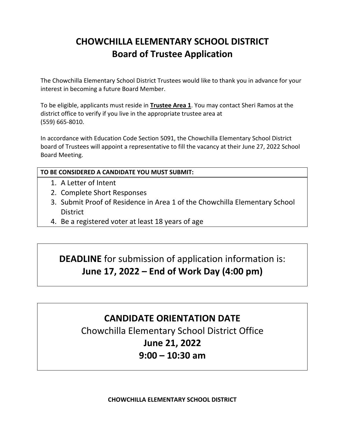## **CHOWCHILLA ELEMENTARY SCHOOL DISTRICT Board of Trustee Application**

The Chowchilla Elementary School District Trustees would like to thank you in advance for your interest in becoming a future Board Member.

To be eligible, applicants must reside in **Trustee Area 1**. You may contact Sheri Ramos at the district office to verify if you live in the appropriate trustee area at (559) 665-8010.

In accordance with Education Code Section 5091, the Chowchilla Elementary School District board of Trustees will appoint a representative to fill the vacancy at their June 27, 2022 School Board Meeting.

### **TO BE CONSIDERED A CANDIDATE YOU MUST SUBMIT:**

- 1. A Letter of Intent
- 2. Complete Short Responses
- 3. Submit Proof of Residence in Area 1 of the Chowchilla Elementary School **District**
- 4. Be a registered voter at least 18 years of age

### **DEADLINE** for submission of application information is: **June 17, 2022 – End of Work Day (4:00 pm)**

### **CANDIDATE ORIENTATION DATE**

Chowchilla Elementary School District Office **June 21, 2022 9:00 – 10:30 am** 

**CHOWCHILLA ELEMENTARY SCHOOL DISTRICT**